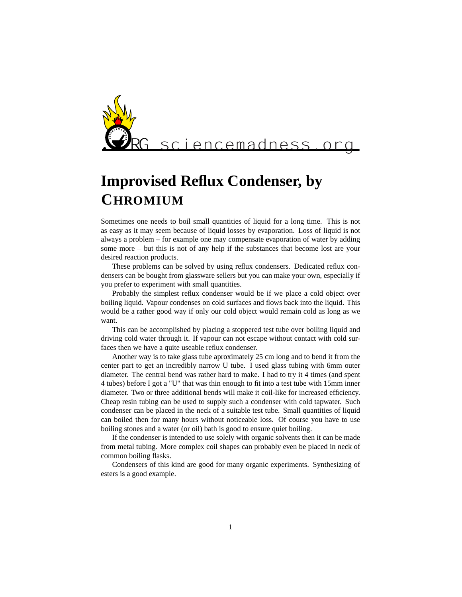

## **Improvised Reflux Condenser, by CHROMIUM**

Sometimes one needs to boil small quantities of liquid for a long time. This is not as easy as it may seem because of liquid losses by evaporation. Loss of liquid is not always a problem – for example one may compensate evaporation of water by adding some more – but this is not of any help if the substances that become lost are your desired reaction products.

These problems can be solved by using reflux condensers. Dedicated reflux condensers can be bought from glassware sellers but you can make your own, especially if you prefer to experiment with small quantities.

Probably the simplest reflux condenser would be if we place a cold object over boiling liquid. Vapour condenses on cold surfaces and flows back into the liquid. This would be a rather good way if only our cold object would remain cold as long as we want.

This can be accomplished by placing a stoppered test tube over boiling liquid and driving cold water through it. If vapour can not escape without contact with cold surfaces then we have a quite useable reflux condenser.

Another way is to take glass tube aproximately 25 cm long and to bend it from the center part to get an incredibly narrow U tube. I used glass tubing with 6mm outer diameter. The central bend was rather hard to make. I had to try it 4 times (and spent 4 tubes) before I got a "U" that was thin enough to fit into a test tube with 15mm inner diameter. Two or three additional bends will make it coil-like for increased efficiency. Cheap resin tubing can be used to supply such a condenser with cold tapwater. Such condenser can be placed in the neck of a suitable test tube. Small quantities of liquid can boiled then for many hours without noticeable loss. Of course you have to use boiling stones and a water (or oil) bath is good to ensure quiet boiling.

If the condenser is intended to use solely with organic solvents then it can be made from metal tubing. More complex coil shapes can probably even be placed in neck of common boiling flasks.

Condensers of this kind are good for many organic experiments. Synthesizing of esters is a good example.